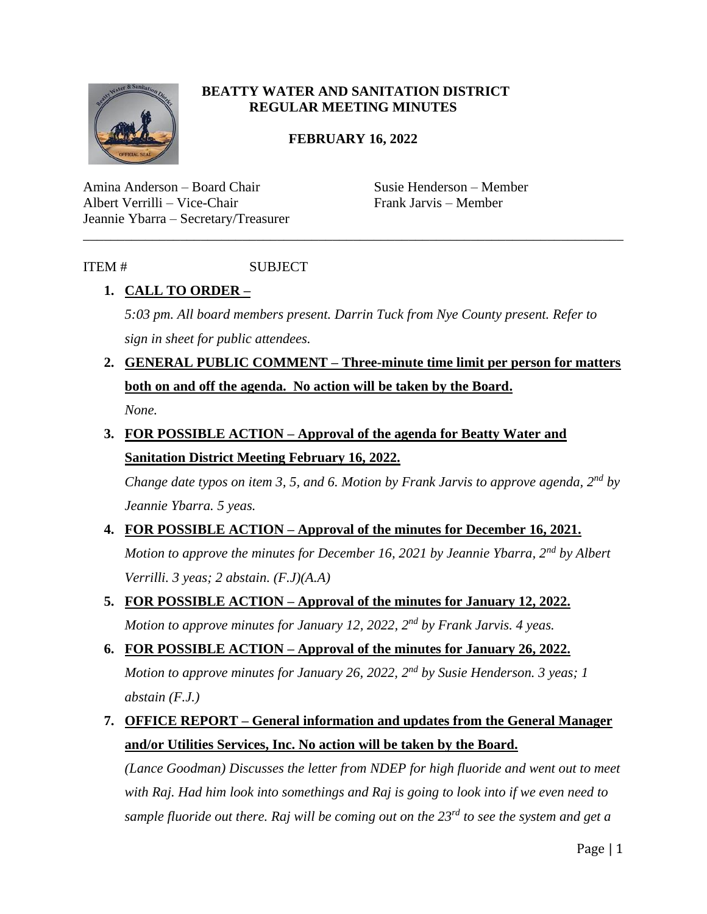

### **BEATTY WATER AND SANITATION DISTRICT REGULAR MEETING MINUTES**

### **FEBRUARY 16, 2022**

\_\_\_\_\_\_\_\_\_\_\_\_\_\_\_\_\_\_\_\_\_\_\_\_\_\_\_\_\_\_\_\_\_\_\_\_\_\_\_\_\_\_\_\_\_\_\_\_\_\_\_\_\_\_\_\_\_\_\_\_\_\_\_\_\_\_\_\_\_\_\_\_\_\_\_\_\_\_

Amina Anderson – Board Chair Susie Henderson – Member Albert Verrilli – Vice-Chair Frank Jarvis – Member Jeannie Ybarra – Secretary/Treasurer

### ITEM # SUBJECT

### **1. CALL TO ORDER –**

*5:03 pm. All board members present. Darrin Tuck from Nye County present. Refer to sign in sheet for public attendees.* 

- **2. GENERAL PUBLIC COMMENT – Three-minute time limit per person for matters both on and off the agenda. No action will be taken by the Board.** *None.*
- **3. FOR POSSIBLE ACTION – Approval of the agenda for Beatty Water and Sanitation District Meeting February 16, 2022.**

*Change date typos on item 3, 5, and 6. Motion by Frank Jarvis to approve agenda, 2nd by Jeannie Ybarra. 5 yeas.* 

### **4. FOR POSSIBLE ACTION – Approval of the minutes for December 16, 2021.**

*Motion to approve the minutes for December 16, 2021 by Jeannie Ybarra, 2nd by Albert Verrilli. 3 yeas; 2 abstain. (F.J)(A.A)*

**5. FOR POSSIBLE ACTION – Approval of the minutes for January 12, 2022.** *Motion to approve minutes for January 12, 2022, 2nd by Frank Jarvis. 4 yeas.* 

# **6. FOR POSSIBLE ACTION – Approval of the minutes for January 26, 2022.** *Motion to approve minutes for January 26, 2022, 2nd by Susie Henderson. 3 yeas; 1 abstain (F.J.)*

### **7. OFFICE REPORT – General information and updates from the General Manager and/or Utilities Services, Inc. No action will be taken by the Board.**

*(Lance Goodman) Discusses the letter from NDEP for high fluoride and went out to meet with Raj. Had him look into somethings and Raj is going to look into if we even need to sample fluoride out there. Raj will be coming out on the 23rd to see the system and get a*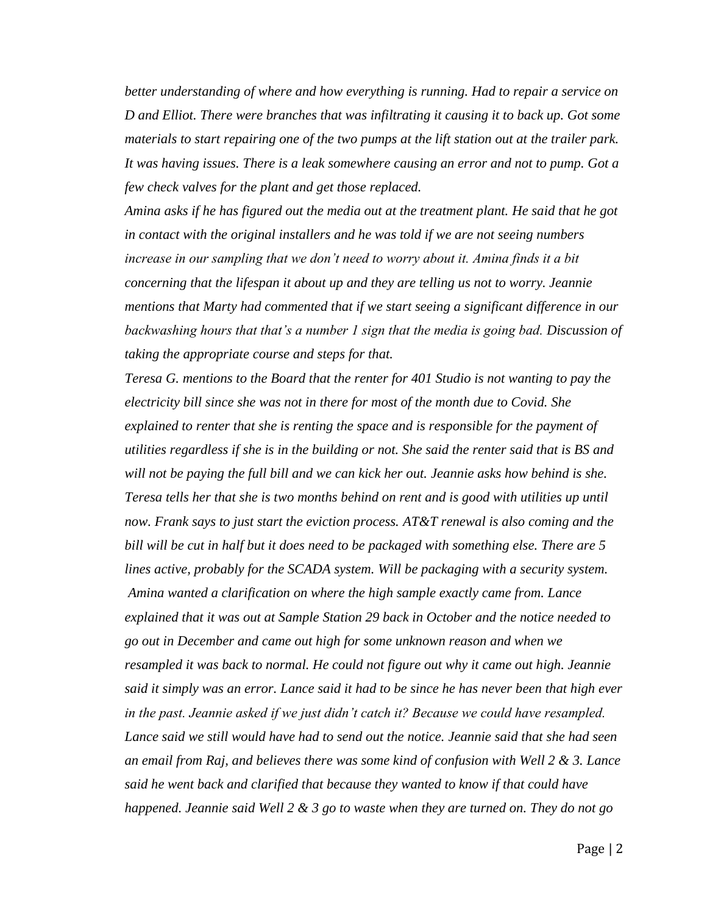*better understanding of where and how everything is running. Had to repair a service on D and Elliot. There were branches that was infiltrating it causing it to back up. Got some materials to start repairing one of the two pumps at the lift station out at the trailer park. It was having issues. There is a leak somewhere causing an error and not to pump. Got a few check valves for the plant and get those replaced.* 

*Amina asks if he has figured out the media out at the treatment plant. He said that he got in contact with the original installers and he was told if we are not seeing numbers increase in our sampling that we don't need to worry about it. Amina finds it a bit concerning that the lifespan it about up and they are telling us not to worry. Jeannie mentions that Marty had commented that if we start seeing a significant difference in our backwashing hours that that's a number 1 sign that the media is going bad. Discussion of taking the appropriate course and steps for that.* 

*Teresa G. mentions to the Board that the renter for 401 Studio is not wanting to pay the electricity bill since she was not in there for most of the month due to Covid. She explained to renter that she is renting the space and is responsible for the payment of utilities regardless if she is in the building or not. She said the renter said that is BS and will not be paying the full bill and we can kick her out. Jeannie asks how behind is she. Teresa tells her that she is two months behind on rent and is good with utilities up until now. Frank says to just start the eviction process. AT&T renewal is also coming and the bill will be cut in half but it does need to be packaged with something else. There are 5 lines active, probably for the SCADA system. Will be packaging with a security system. Amina wanted a clarification on where the high sample exactly came from. Lance explained that it was out at Sample Station 29 back in October and the notice needed to go out in December and came out high for some unknown reason and when we resampled it was back to normal. He could not figure out why it came out high. Jeannie said it simply was an error. Lance said it had to be since he has never been that high ever in the past. Jeannie asked if we just didn't catch it? Because we could have resampled. Lance said we still would have had to send out the notice. Jeannie said that she had seen an email from Raj, and believes there was some kind of confusion with Well 2 & 3. Lance said he went back and clarified that because they wanted to know if that could have happened. Jeannie said Well 2 & 3 go to waste when they are turned on. They do not go*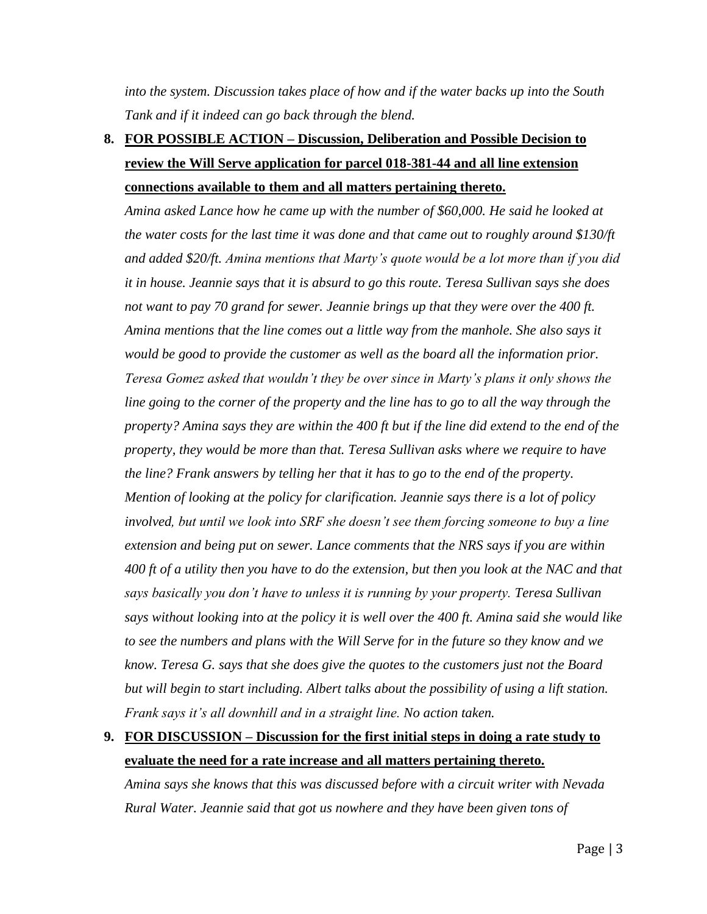*into the system. Discussion takes place of how and if the water backs up into the South Tank and if it indeed can go back through the blend.* 

# **8. FOR POSSIBLE ACTION – Discussion, Deliberation and Possible Decision to review the Will Serve application for parcel 018-381-44 and all line extension connections available to them and all matters pertaining thereto.**

*Amina asked Lance how he came up with the number of \$60,000. He said he looked at the water costs for the last time it was done and that came out to roughly around \$130/ft and added \$20/ft. Amina mentions that Marty's quote would be a lot more than if you did it in house. Jeannie says that it is absurd to go this route. Teresa Sullivan says she does not want to pay 70 grand for sewer. Jeannie brings up that they were over the 400 ft. Amina mentions that the line comes out a little way from the manhole. She also says it would be good to provide the customer as well as the board all the information prior. Teresa Gomez asked that wouldn't they be over since in Marty's plans it only shows the line going to the corner of the property and the line has to go to all the way through the property? Amina says they are within the 400 ft but if the line did extend to the end of the property, they would be more than that. Teresa Sullivan asks where we require to have the line? Frank answers by telling her that it has to go to the end of the property. Mention of looking at the policy for clarification. Jeannie says there is a lot of policy involved, but until we look into SRF she doesn't see them forcing someone to buy a line extension and being put on sewer. Lance comments that the NRS says if you are within 400 ft of a utility then you have to do the extension, but then you look at the NAC and that says basically you don't have to unless it is running by your property. Teresa Sullivan says without looking into at the policy it is well over the 400 ft. Amina said she would like to see the numbers and plans with the Will Serve for in the future so they know and we know. Teresa G. says that she does give the quotes to the customers just not the Board but will begin to start including. Albert talks about the possibility of using a lift station. Frank says it's all downhill and in a straight line. No action taken.* 

### **9. FOR DISCUSSION – Discussion for the first initial steps in doing a rate study to evaluate the need for a rate increase and all matters pertaining thereto.**

*Amina says she knows that this was discussed before with a circuit writer with Nevada Rural Water. Jeannie said that got us nowhere and they have been given tons of*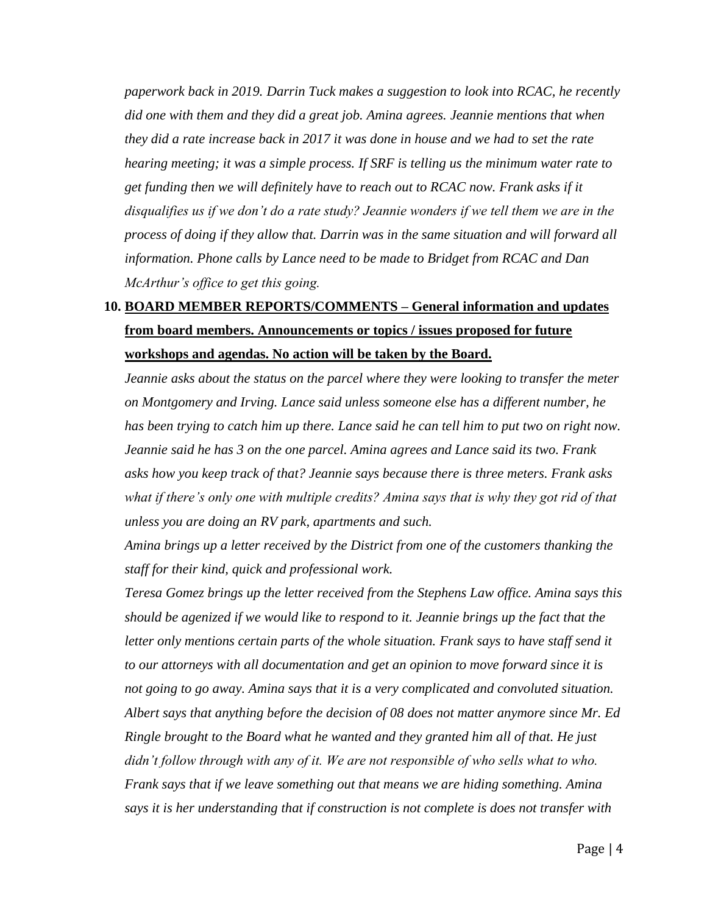*paperwork back in 2019. Darrin Tuck makes a suggestion to look into RCAC, he recently did one with them and they did a great job. Amina agrees. Jeannie mentions that when they did a rate increase back in 2017 it was done in house and we had to set the rate hearing meeting; it was a simple process. If SRF is telling us the minimum water rate to get funding then we will definitely have to reach out to RCAC now. Frank asks if it disqualifies us if we don't do a rate study? Jeannie wonders if we tell them we are in the process of doing if they allow that. Darrin was in the same situation and will forward all information. Phone calls by Lance need to be made to Bridget from RCAC and Dan McArthur's office to get this going.* 

# **10. BOARD MEMBER REPORTS/COMMENTS – General information and updates from board members. Announcements or topics / issues proposed for future workshops and agendas. No action will be taken by the Board.**

*Jeannie asks about the status on the parcel where they were looking to transfer the meter on Montgomery and Irving. Lance said unless someone else has a different number, he has been trying to catch him up there. Lance said he can tell him to put two on right now. Jeannie said he has 3 on the one parcel. Amina agrees and Lance said its two. Frank asks how you keep track of that? Jeannie says because there is three meters. Frank asks what if there's only one with multiple credits? Amina says that is why they got rid of that unless you are doing an RV park, apartments and such.* 

*Amina brings up a letter received by the District from one of the customers thanking the staff for their kind, quick and professional work.* 

*Teresa Gomez brings up the letter received from the Stephens Law office. Amina says this should be agenized if we would like to respond to it. Jeannie brings up the fact that the letter only mentions certain parts of the whole situation. Frank says to have staff send it to our attorneys with all documentation and get an opinion to move forward since it is not going to go away. Amina says that it is a very complicated and convoluted situation. Albert says that anything before the decision of 08 does not matter anymore since Mr. Ed Ringle brought to the Board what he wanted and they granted him all of that. He just didn't follow through with any of it. We are not responsible of who sells what to who. Frank says that if we leave something out that means we are hiding something. Amina says it is her understanding that if construction is not complete is does not transfer with*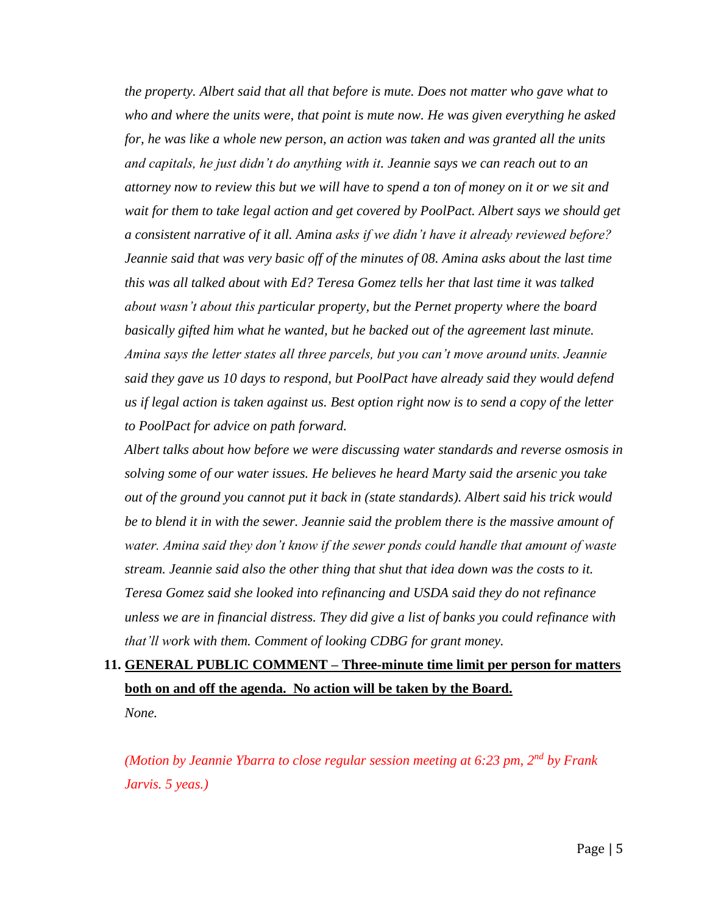*the property. Albert said that all that before is mute. Does not matter who gave what to who and where the units were, that point is mute now. He was given everything he asked for, he was like a whole new person, an action was taken and was granted all the units and capitals, he just didn't do anything with it. Jeannie says we can reach out to an attorney now to review this but we will have to spend a ton of money on it or we sit and wait for them to take legal action and get covered by PoolPact. Albert says we should get a consistent narrative of it all. Amina asks if we didn't have it already reviewed before? Jeannie said that was very basic off of the minutes of 08. Amina asks about the last time this was all talked about with Ed? Teresa Gomez tells her that last time it was talked about wasn't about this particular property, but the Pernet property where the board basically gifted him what he wanted, but he backed out of the agreement last minute. Amina says the letter states all three parcels, but you can't move around units. Jeannie said they gave us 10 days to respond, but PoolPact have already said they would defend us if legal action is taken against us. Best option right now is to send a copy of the letter to PoolPact for advice on path forward.*

*Albert talks about how before we were discussing water standards and reverse osmosis in solving some of our water issues. He believes he heard Marty said the arsenic you take out of the ground you cannot put it back in (state standards). Albert said his trick would be to blend it in with the sewer. Jeannie said the problem there is the massive amount of water. Amina said they don't know if the sewer ponds could handle that amount of waste stream. Jeannie said also the other thing that shut that idea down was the costs to it. Teresa Gomez said she looked into refinancing and USDA said they do not refinance unless we are in financial distress. They did give a list of banks you could refinance with that'll work with them. Comment of looking CDBG for grant money.* 

# **11. GENERAL PUBLIC COMMENT – Three-minute time limit per person for matters both on and off the agenda. No action will be taken by the Board.**

*None.* 

*(Motion by Jeannie Ybarra to close regular session meeting at 6:23 pm, 2nd by Frank Jarvis. 5 yeas.)*